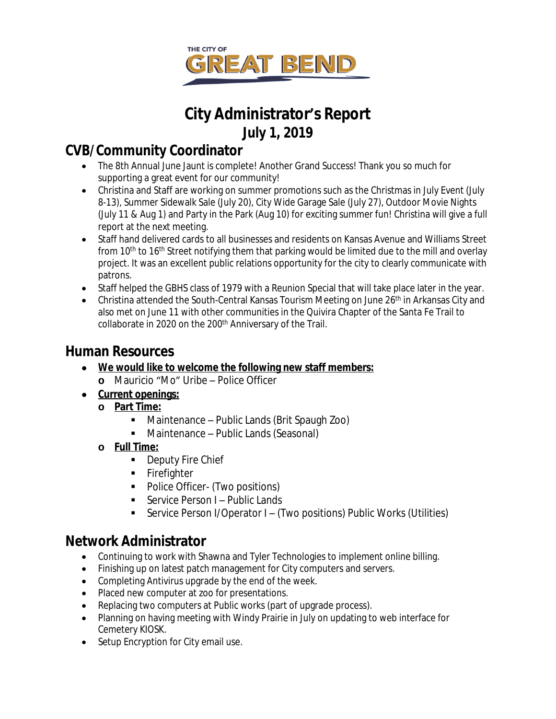

# **City Administrator's Report July 1, 2019**

## **CVB/Community Coordinator**

- The 8th Annual June Jaunt is complete! Another Grand Success! Thank you so much for supporting a great event for our community!
- Christina and Staff are working on summer promotions such as the Christmas in July Event (July 8-13), Summer Sidewalk Sale (July 20), City Wide Garage Sale (July 27), Outdoor Movie Nights (July 11 & Aug 1) and Party in the Park (Aug 10) for exciting summer fun! Christina will give a full report at the next meeting.
- Staff hand delivered cards to all businesses and residents on Kansas Avenue and Williams Street from 10<sup>th</sup> to 16<sup>th</sup> Street notifying them that parking would be limited due to the mill and overlay project. It was an excellent public relations opportunity for the city to clearly communicate with patrons.
- Staff helped the GBHS class of 1979 with a Reunion Special that will take place later in the year.
- **Christina attended the South-Central Kansas Tourism Meeting on June 26<sup>th</sup> in Arkansas City and** also met on June 11 with other communities in the Quivira Chapter of the Santa Fe Trail to collaborate in 2020 on the 200<sup>th</sup> Anniversary of the Trail.

### **Human Resources**

- **We would like to welcome the following new staff members:**
	- **o** Mauricio "Mo" Uribe Police Officer
- **Current openings:**
	- **o Part Time:**
		- Maintenance Public Lands (Brit Spaugh Zoo)
		- Maintenance Public Lands (Seasonal)
	- **o Full Time:**
		- **Deputy Fire Chief**
		- **Firefighter**
		- Police Officer- (Two positions)
		- Service Person I Public Lands
		- Service Person I/Operator I (Two positions) Public Works (Utilities)

### **Network Administrator**

- Continuing to work with Shawna and Tyler Technologies to implement online billing.
- Finishing up on latest patch management for City computers and servers.
- Completing Antivirus upgrade by the end of the week.
- Placed new computer at zoo for presentations.
- Replacing two computers at Public works (part of upgrade process).
- Planning on having meeting with Windy Prairie in July on updating to web interface for Cemetery KIOSK.
- Setup Encryption for City email use.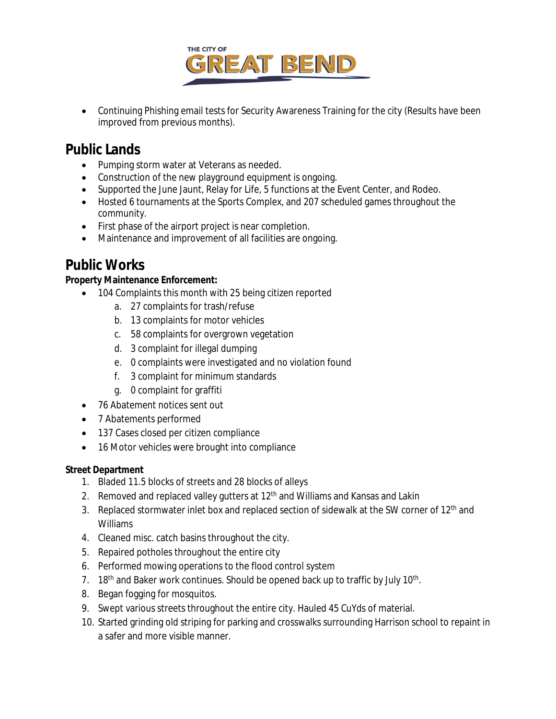

• Continuing Phishing email tests for Security Awareness Training for the city (Results have been improved from previous months).

### **Public Lands**

- Pumping storm water at Veterans as needed.
- Construction of the new playground equipment is ongoing.
- Supported the June Jaunt, Relay for Life, 5 functions at the Event Center, and Rodeo.
- Hosted 6 tournaments at the Sports Complex, and 207 scheduled games throughout the community.
- First phase of the airport project is near completion.
- Maintenance and improvement of all facilities are ongoing.

### **Public Works**

#### **Property Maintenance Enforcement:**

- 104 Complaints this month with 25 being citizen reported
	- a. 27 complaints for trash/refuse
	- b. 13 complaints for motor vehicles
	- c. 58 complaints for overgrown vegetation
	- d. 3 complaint for illegal dumping
	- e. 0 complaints were investigated and no violation found
	- f. 3 complaint for minimum standards
	- g. 0 complaint for graffiti
- 76 Abatement notices sent out
- 7 Abatements performed
- 137 Cases closed per citizen compliance
- 16 Motor vehicles were brought into compliance

#### **Street Department**

- 1. Bladed 11.5 blocks of streets and 28 blocks of alleys
- 2. Removed and replaced valley gutters at 12<sup>th</sup> and Williams and Kansas and Lakin
- 3. Replaced stormwater inlet box and replaced section of sidewalk at the SW corner of 12<sup>th</sup> and Williams
- 4. Cleaned misc. catch basins throughout the city.
- 5. Repaired potholes throughout the entire city
- 6. Performed mowing operations to the flood control system
- 7. 18<sup>th</sup> and Baker work continues. Should be opened back up to traffic by July 10<sup>th</sup>.
- 8. Began fogging for mosquitos.
- 9. Swept various streets throughout the entire city. Hauled 45 CuYds of material.
- 10. Started grinding old striping for parking and crosswalks surrounding Harrison school to repaint in a safer and more visible manner.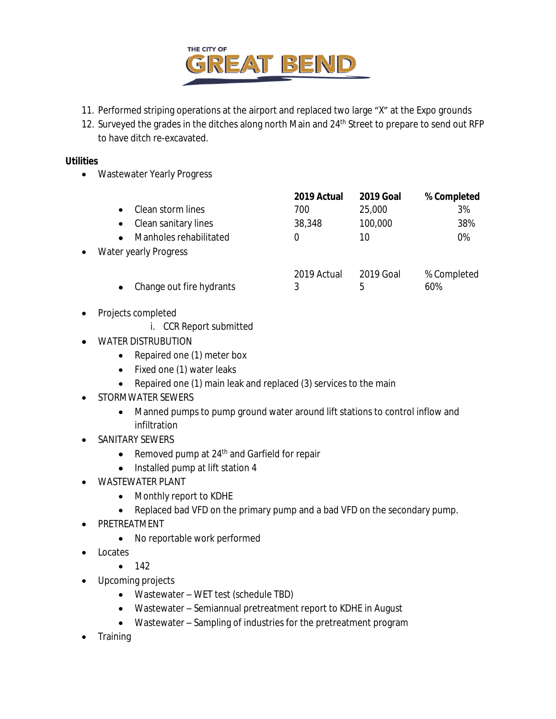

- 11. Performed striping operations at the airport and replaced two large "X" at the Expo grounds
- 12. Surveyed the grades in the ditches along north Main and 24<sup>th</sup> Street to prepare to send out RFP to have ditch re-excavated.

#### **Utilities**

Wastewater Yearly Progress

|           |                          | 2019 Actual | <b>2019 Goal</b> | % Completed |
|-----------|--------------------------|-------------|------------------|-------------|
|           | Clean storm lines        | 700         | 25,000           | 3%          |
|           | Clean sanitary lines     | 38,348      | 100,000          | 38%         |
|           | Manholes rehabilitated   |             | 10               | 0%          |
| $\bullet$ | Water yearly Progress    |             |                  |             |
|           |                          | 2019 Actual | 2019 Goal        | % Completed |
|           | Change out fire hydrants | 3           | 5                | 60%         |

- Projects completed
	- i. CCR Report submitted
- **WATER DISTRUBUTION** 
	- Repaired one (1) meter box
	- Fixed one (1) water leaks
	- Repaired one (1) main leak and replaced (3) services to the main
- STORMWATER SEWERS
	- Manned pumps to pump ground water around lift stations to control inflow and infiltration
- SANITARY SEWERS
	- Removed pump at 24<sup>th</sup> and Garfield for repair
	- Installed pump at lift station 4
- WASTEWATER PLANT
	- Monthly report to KDHE
	- Replaced bad VFD on the primary pump and a bad VFD on the secondary pump.
- PRETREATMENT
	- No reportable work performed
- Locates

 $-142$ 

- Upcoming projects
	- Wastewater WET test (schedule TBD)
	- Wastewater Semiannual pretreatment report to KDHE in August
	- Wastewater Sampling of industries for the pretreatment program
- Training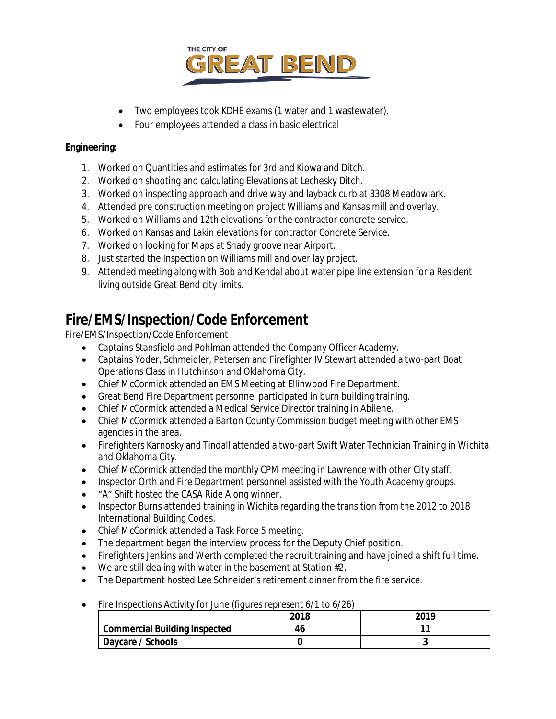

- Two employees took KDHE exams (1 water and 1 wastewater).
- Four employees attended a class in basic electrical

#### **Engineering:**

- 1. Worked on Quantities and estimates for 3rd and Kiowa and Ditch.
- 2. Worked on shooting and calculating Elevations at Lechesky Ditch.
- 3. Worked on inspecting approach and drive way and layback curb at 3308 Meadowlark.
- 4. Attended pre construction meeting on project Williams and Kansas mill and overlay.
- 5. Worked on Williams and 12th elevations for the contractor concrete service.
- 6. Worked on Kansas and Lakin elevations for contractor Concrete Service.
- 7. Worked on looking for Maps at Shady groove near Airport.
- 8. Just started the Inspection on Williams mill and over lay project.
- 9. Attended meeting along with Bob and Kendal about water pipe line extension for a Resident living outside Great Bend city limits.

### **Fire/EMS/Inspection/Code Enforcement**

Fire/EMS/Inspection/Code Enforcement

- Captains Stansfield and Pohlman attended the Company Officer Academy.
- Captains Yoder, Schmeidler, Petersen and Firefighter IV Stewart attended a two-part Boat Operations Class in Hutchinson and Oklahoma City.
- Chief McCormick attended an EMS Meeting at Ellinwood Fire Department.
- Great Bend Fire Department personnel participated in burn building training.
- Chief McCormick attended a Medical Service Director training in Abilene.
- Chief McCormick attended a Barton County Commission budget meeting with other EMS agencies in the area.
- Firefighters Karnosky and Tindall attended a two-part Swift Water Technician Training in Wichita and Oklahoma City.
- Chief McCormick attended the monthly CPM meeting in Lawrence with other City staff.
- Inspector Orth and Fire Department personnel assisted with the Youth Academy groups.
- "A" Shift hosted the CASA Ride Along winner.
- Inspector Burns attended training in Wichita regarding the transition from the 2012 to 2018 International Building Codes.
- Chief McCormick attended a Task Force 5 meeting.
- The department began the interview process for the Deputy Chief position.
- Firefighters Jenkins and Werth completed the recruit training and have joined a shift full time.
- We are still dealing with water in the basement at Station #2.
- The Department hosted Lee Schneider's retirement dinner from the fire service.
	- **2018 2019 Commercial Building Inspected 46 11 Daycare / Schools 0 3**
- Fire Inspections Activity for June *(figures represent 6/1 to 6/26)*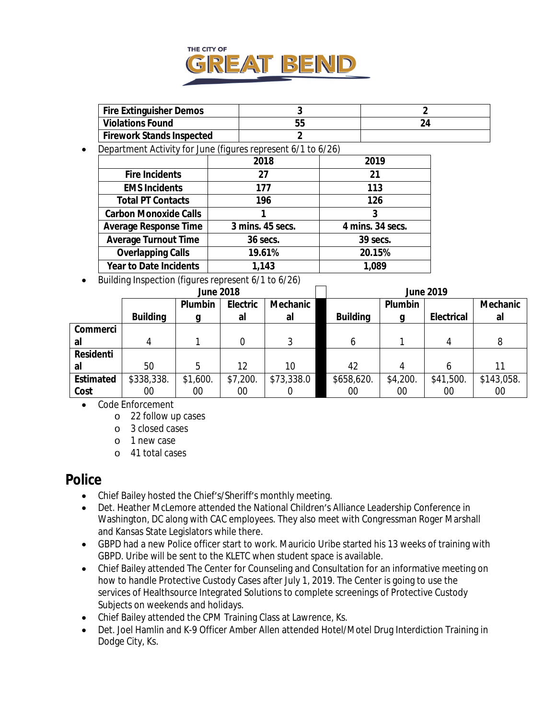

| <b>Fire Extinguisher Demos</b> |   |
|--------------------------------|---|
| <b>Violations Found</b>        | ~ |
| Firework Stands Inspected      |   |

Department Activity for June *(figures represent 6/1 to 6/26)*

|                               | 2018             | 2019             |
|-------------------------------|------------------|------------------|
| <b>Fire Incidents</b>         | 27               | 21               |
| <b>EMS Incidents</b>          | 177              | 113              |
| <b>Total PT Contacts</b>      | 196              | 126              |
| <b>Carbon Monoxide Calls</b>  |                  | 3                |
| <b>Average Response Time</b>  | 3 mins. 45 secs. | 4 mins. 34 secs. |
| <b>Average Turnout Time</b>   | 36 secs.         | 39 secs.         |
| <b>Overlapping Calls</b>      | 19.61%           | 20.15%           |
| <b>Year to Date Incidents</b> | 1,143            | 1,089            |

Building Inspection *(figures represent 6/1 to 6/26)*

|                  | <b>June 2018</b> |          |          |            | <b>June 2019</b> |          |                   |                 |  |
|------------------|------------------|----------|----------|------------|------------------|----------|-------------------|-----------------|--|
|                  |                  | Plumbin  | Electric | Mechanic   |                  | Plumbin  |                   | <b>Mechanic</b> |  |
|                  | <b>Building</b>  | g        | al       | al         | <b>Building</b>  | g        | <b>Electrical</b> | al              |  |
| Commerci         |                  |          |          |            |                  |          |                   |                 |  |
| al               | 4                |          |          | 3          | 6                |          | 4                 | 8               |  |
| Residenti        |                  |          |          |            |                  |          |                   |                 |  |
| al               | 50               | 5        | 12       | 10         | 42               |          |                   | 11              |  |
| <b>Estimated</b> | \$338,338.       | \$1,600. | \$7,200. | \$73,338.0 | \$658,620.       | \$4,200. | \$41,500.         | \$143,058.      |  |
| Cost             | 00               | 00       | 00       |            | 00               | 00       | 00                | 00              |  |

- Code Enforcement
	- o 22 follow up cases
	- o 3 closed cases
	- o 1 new case
	- o 41 total cases

### **Police**

- Chief Bailey hosted the Chief's/Sheriff's monthly meeting.
- Det. Heather McLemore attended the National Children's Alliance Leadership Conference in Washington, DC along with CAC employees. They also meet with Congressman Roger Marshall and Kansas State Legislators while there.
- GBPD had a new Police officer start to work. Mauricio Uribe started his 13 weeks of training with GBPD. Uribe will be sent to the KLETC when student space is available.
- Chief Bailey attended The Center for Counseling and Consultation for an informative meeting on how to handle Protective Custody Cases after July 1, 2019. The Center is going to use the services of Healthsource Integrated Solutions to complete screenings of Protective Custody Subjects on weekends and holidays.
- Chief Bailey attended the CPM Training Class at Lawrence, Ks.
- Det. Joel Hamlin and K-9 Officer Amber Allen attended Hotel/Motel Drug Interdiction Training in Dodge City, Ks.